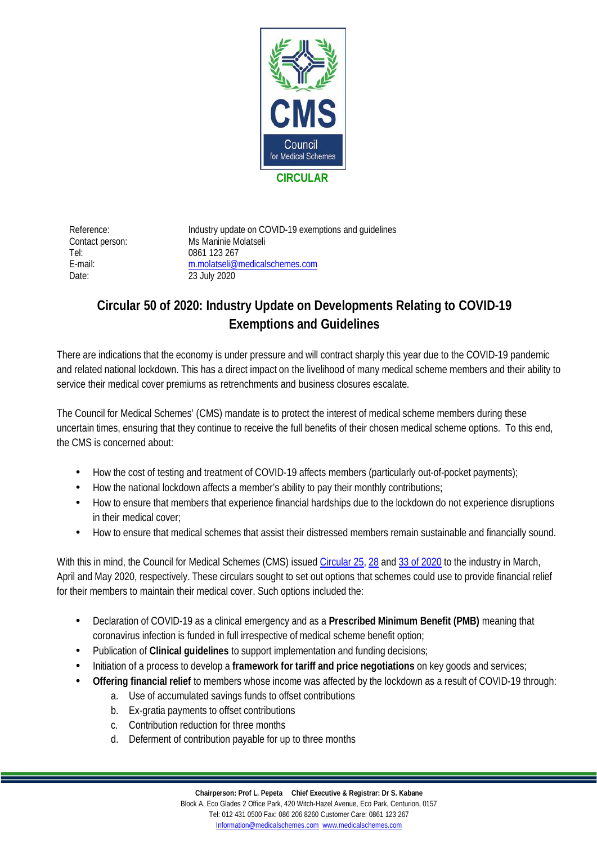

Tel: 0861 123 267 Date: 23 July 2020

Reference: Industry update on COVID-19 exemptions and guidelines Contact person: Ms Maninie Molatseli E-mail: [m.molatseli@medicalschemes.com](mailto:m.molatseli@medicalschemes.com)

## **Circular 50 of 2020: Industry Update on Developments Relating to COVID-19 Exemptions and Guidelines**

There are indications that the economy is under pressure and will contract sharply this year due to the COVID-19 pandemic and related national lockdown. This has a direct impact on the livelihood of many medical scheme members and their ability to service their medical cover premiums as retrenchments and business closures escalate.

The Council for Medical Schemes' (CMS) mandate is to protect the interest of medical scheme members during these uncertain times, ensuring that they continue to receive the full benefits of their chosen medical scheme options. To this end, the CMS is concerned about:

- How the cost of testing and treatment of COVID-19 affects members (particularly out-of-pocket payments);
- How the national lockdown affects a member's ability to pay their monthly contributions;
- How to ensure that members that experience financial hardships due to the lockdown do not experience disruptions  $\mathbf{r}$ in their medical cover;
- How to ensure that medical schemes that assist their distressed members remain sustainable and financially sound.

With this in mind, the Council for Medical Schemes (CMS) issued [Circular 25,](https://www.medicalschemes.com/files/Circulars/Circular25of2020.pdf) [28](https://www.medicalschemes.com/files/Circulars/Circular28of2020.pdf) and [33 of 2020](https://www.medicalschemes.com/files/Circulars/Circular33of2020.pdf) to the industry in March, April and May 2020, respectively. These circulars sought to set out options that schemes could use to provide financial relief for their members to maintain their medical cover. Such options included the:

- Declaration of COVID-19 as a clinical emergency and as a **Prescribed Minimum Benefit (PMB)** meaning that  $\mathbf{r}$ coronavirus infection is funded in full irrespective of medical scheme benefit option;
- Publication of **Clinical guidelines** to support implementation and funding decisions;
- Initiation of a process to develop a **framework for tariff and price negotiations** on key goods and services;  $\overline{a}$
- **Offering financial relief** to members whose income was affected by the lockdown as a result of COVID-19 through:
	- a. Use of accumulated savings funds to offset contributions
	- b. Ex-gratia payments to offset contributions
	- c. Contribution reduction for three months
	- d. Deferment of contribution payable for up to three months